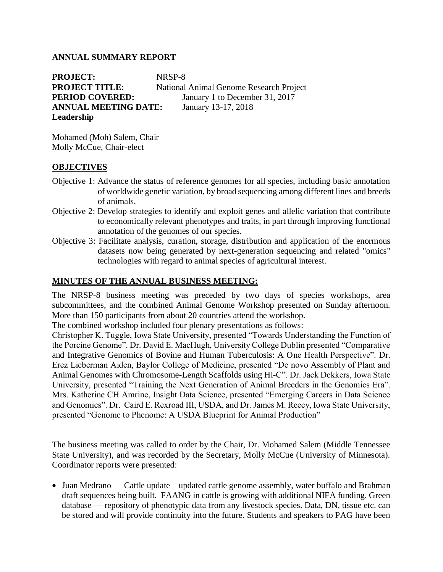## **ANNUAL SUMMARY REPORT**

**PROJECT:** NRSP-8 **PROJECT TITLE:** National Animal Genome Research Project **PERIOD COVERED:** January 1 to December 31, 2017 **ANNUAL MEETING DATE:** January 13-17, 2018 **Leadership**

Mohamed (Moh) Salem, Chair Molly McCue, Chair-elect

## **OBJECTIVES**

- Objective 1: Advance the status of reference genomes for all species, including basic annotation of worldwide genetic variation, by broad sequencing among different lines and breeds of animals.
- Objective 2: Develop strategies to identify and exploit genes and allelic variation that contribute to economically relevant phenotypes and traits, in part through improving functional annotation of the genomes of our species.
- Objective 3: Facilitate analysis, curation, storage, distribution and application of the enormous datasets now being generated by next-generation sequencing and related "omics" technologies with regard to animal species of agricultural interest.

## **MINUTES OF THE ANNUAL BUSINESS MEETING:**

The NRSP-8 business meeting was preceded by two days of species workshops, area subcommittees, and the combined Animal Genome Workshop presented on Sunday afternoon. More than 150 participants from about 20 countries attend the workshop.

The combined workshop included four plenary presentations as follows:

Christopher K. Tuggle, Iowa State University, presented "Towards Understanding the Function of the Porcine Genome". Dr. David E. MacHugh, University College Dublin presented "Comparative and Integrative Genomics of Bovine and Human Tuberculosis: A One Health Perspective". Dr. Erez Lieberman Aiden, Baylor College of Medicine, presented "De novo Assembly of Plant and Animal Genomes with Chromosome-Length Scaffolds using Hi-C". Dr. Jack Dekkers, Iowa State University, presented "Training the Next Generation of Animal Breeders in the Genomics Era". Mrs. Katherine CH Amrine, Insight Data Science, presented "Emerging Careers in Data Science and Genomics". Dr. Caird E. Rexroad III, USDA, and Dr. James M. Reecy, Iowa State University, presented "Genome to Phenome: A USDA Blueprint for Animal Production"

The business meeting was called to order by the Chair, Dr. Mohamed Salem (Middle Tennessee State University), and was recorded by the Secretary, Molly McCue (University of Minnesota). Coordinator reports were presented:

• Juan Medrano — Cattle update—updated cattle genome assembly, water buffalo and Brahman draft sequences being built. FAANG in cattle is growing with additional NIFA funding. Green database — repository of phenotypic data from any livestock species. Data, DN, tissue etc. can be stored and will provide continuity into the future. Students and speakers to PAG have been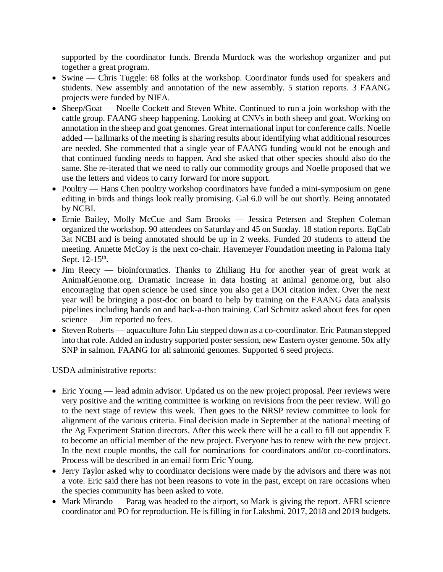supported by the coordinator funds. Brenda Murdock was the workshop organizer and put together a great program.

- Swine Chris Tuggle: 68 folks at the workshop. Coordinator funds used for speakers and students. New assembly and annotation of the new assembly. 5 station reports. 3 FAANG projects were funded by NIFA.
- Sheep/Goat Noelle Cockett and Steven White. Continued to run a join workshop with the cattle group. FAANG sheep happening. Looking at CNVs in both sheep and goat. Working on annotation in the sheep and goat genomes. Great international input for conference calls. Noelle added — hallmarks of the meeting is sharing results about identifying what additional resources are needed. She commented that a single year of FAANG funding would not be enough and that continued funding needs to happen. And she asked that other species should also do the same. She re-iterated that we need to rally our commodity groups and Noelle proposed that we use the letters and videos to carry forward for more support.
- Poultry Hans Chen poultry workshop coordinators have funded a mini-symposium on gene editing in birds and things look really promising. Gal 6.0 will be out shortly. Being annotated by NCBI.
- Ernie Bailey, Molly McCue and Sam Brooks Jessica Petersen and Stephen Coleman organized the workshop. 90 attendees on Saturday and 45 on Sunday. 18 station reports. EqCab 3at NCBI and is being annotated should be up in 2 weeks. Funded 20 students to attend the meeting. Annette McCoy is the next co-chair. Havemeyer Foundation meeting in Paloma Italy Sept.  $12-15$ <sup>th</sup>.
- Jim Reecy bioinformatics. Thanks to Zhiliang Hu for another year of great work at AnimalGenome.org. Dramatic increase in data hosting at animal genome.org, but also encouraging that open science be used since you also get a DOI citation index. Over the next year will be bringing a post-doc on board to help by training on the FAANG data analysis pipelines including hands on and hack-a-thon training. Carl Schmitz asked about fees for open science — Jim reported no fees.
- Steven Roberts aquaculture John Liu stepped down as a co-coordinator. Eric Patman stepped into that role. Added an industry supported poster session, new Eastern oyster genome. 50x affy SNP in salmon. FAANG for all salmonid genomes. Supported 6 seed projects.

USDA administrative reports:

- Eric Young lead admin advisor. Updated us on the new project proposal. Peer reviews were very positive and the writing committee is working on revisions from the peer review. Will go to the next stage of review this week. Then goes to the NRSP review committee to look for alignment of the various criteria. Final decision made in September at the national meeting of the Ag Experiment Station directors. After this week there will be a call to fill out appendix E to become an official member of the new project. Everyone has to renew with the new project. In the next couple months, the call for nominations for coordinators and/or co-coordinators. Process will be described in an email form Eric Young.
- Jerry Taylor asked why to coordinator decisions were made by the advisors and there was not a vote. Eric said there has not been reasons to vote in the past, except on rare occasions when the species community has been asked to vote.
- Mark Mirando Parag was headed to the airport, so Mark is giving the report. AFRI science coordinator and PO for reproduction. He is filling in for Lakshmi. 2017, 2018 and 2019 budgets.